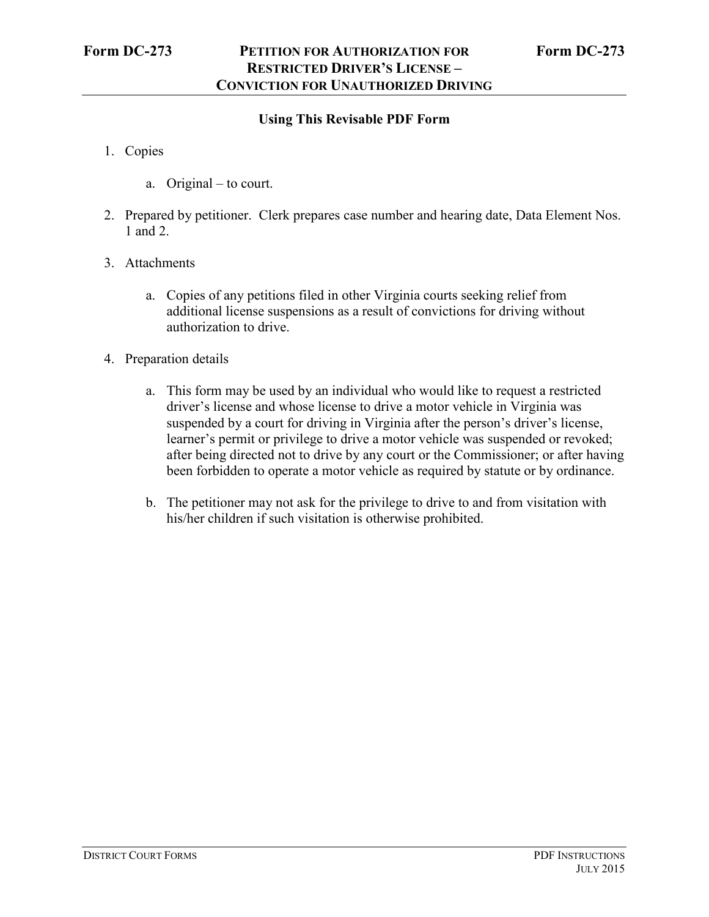## **Using This Revisable PDF Form**

- 1. Copies
	- a. Original to court.
- 2. Prepared by petitioner. Clerk prepares case number and hearing date, Data Element Nos. 1 and 2.
- 3. Attachments
	- a. Copies of any petitions filed in other Virginia courts seeking relief from additional license suspensions as a result of convictions for driving without authorization to drive.
- 4. Preparation details
	- a. This form may be used by an individual who would like to request a restricted driver's license and whose license to drive a motor vehicle in Virginia was suspended by a court for driving in Virginia after the person's driver's license, learner's permit or privilege to drive a motor vehicle was suspended or revoked; after being directed not to drive by any court or the Commissioner; or after having been forbidden to operate a motor vehicle as required by statute or by ordinance.
	- b. The petitioner may not ask for the privilege to drive to and from visitation with his/her children if such visitation is otherwise prohibited.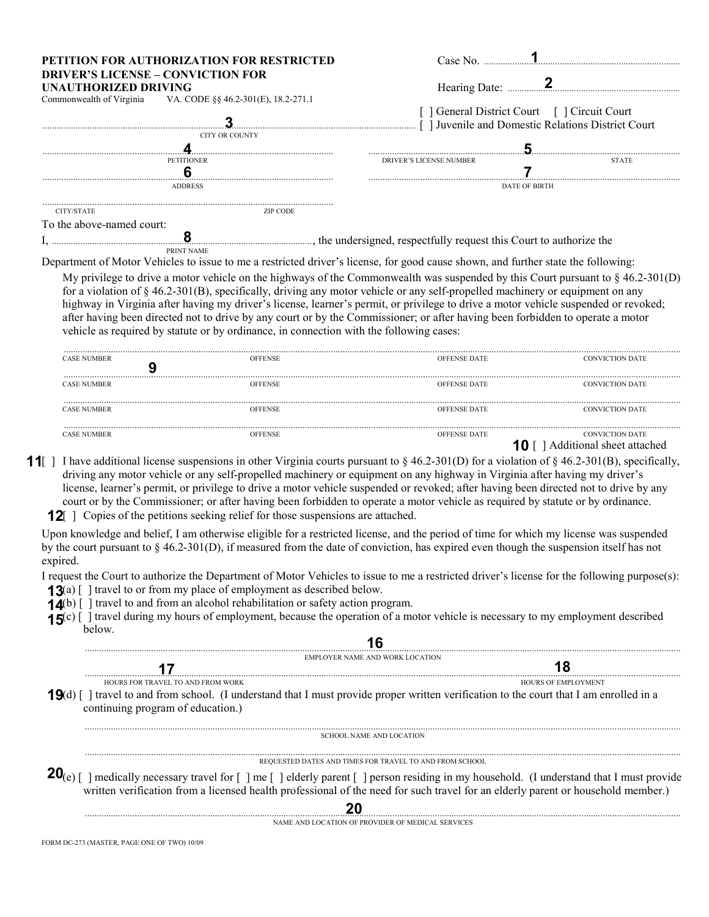|                                                                  | PETITION FOR AUTHORIZATION FOR RESTRICTED                        | Case No-                                                                                                                          |              |  |
|------------------------------------------------------------------|------------------------------------------------------------------|-----------------------------------------------------------------------------------------------------------------------------------|--------------|--|
| <b>DRIVER'S LICENSE – CONVICTION FOR</b><br>UNAUTHORIZED DRIVING | Commonwealth of Virginia VA. CODE $\S$ § 46.2-301(E), 18.2-271.1 |                                                                                                                                   |              |  |
|                                                                  |                                                                  | General District Court [ ] Circuit Court [<br>I Juvenile and Domestic Relations District Court                                    |              |  |
|                                                                  | CITY OR COUNTY                                                   |                                                                                                                                   |              |  |
|                                                                  |                                                                  |                                                                                                                                   |              |  |
|                                                                  | <b>PETITIONER</b>                                                | DRIVER'S LICENSE NUMBER                                                                                                           | <b>STATE</b> |  |
|                                                                  |                                                                  |                                                                                                                                   |              |  |
|                                                                  | <b>ADDRESS</b>                                                   | <b>DATE OF BIRTH</b>                                                                                                              |              |  |
| CITY/STATE                                                       | <b>ZIP CODE</b>                                                  |                                                                                                                                   |              |  |
| To the above-named court:                                        |                                                                  |                                                                                                                                   |              |  |
|                                                                  |                                                                  | <b>E</b> the undersigned, respectfully request this Court to authorize the                                                        |              |  |
|                                                                  | PRINT NAME                                                       |                                                                                                                                   |              |  |
|                                                                  |                                                                  | Department of Motor Vehicles to issue to me a restricted driver's license, for good cause shown, and further state the following: |              |  |

My privilege to drive a motor vehicle on the highways of the Commonwealth was suspended by this Court pursuant to  $\S 46.2\n-301(D)$ for a violation of  $\S$  46.2-301(B), specifically, driving any motor vehicle or any self-propelled machinery or equipment on any highway in Virginia after having my driver's license, learner's permit, or privilege to drive a motor vehicle suspended or revoked; after having been directed not to drive by any court or by the Commissioner; or after having been forbidden to operate a motor vehicle as required by statute or by ordinance, in connection with the following cases:

| <b>CASE NUMBER</b> | <b>OFFENSE</b> | <b>OFFENSE DATE</b> | <b>CONVICTION DATE</b>                              |
|--------------------|----------------|---------------------|-----------------------------------------------------|
| <b>CASE NUMBER</b> | <b>OFFENSE</b> | <b>OFFENSE DATE</b> | <b>CONVICTION DATE</b>                              |
| <b>CASE NUMBER</b> | <b>OFFENSE</b> | <b>OFFENSE DATE</b> | <b>CONVICTION DATE</b>                              |
| <b>CASE NUMBER</b> | <b>OFFENSE</b> | <b>OFFENSE DATE</b> | <b>CONVICTION DATE</b><br>Additional sheet attached |

- **11** I have additional license suspensions in other Virginia courts pursuant to § 46.2-301(D) for a violation of § 46.2-301(B), specifically, driving any motor vehicle or any self-propelled machinery or equipment on any highway in Virginia after having my driver's license, learner's permit, or privilege to drive a motor vehicle suspended or revoked; after having been directed not to drive by any court or by the Commissioner; or after having been forbidden to operate a motor vehicle as required by statute or by ordinance.
	- **12** ] Copies of the petitions seeking relief for those suspensions are attached.

Upon knowledge and belief, I am otherwise eligible for a restricted license, and the period of time for which my license was suspended by the court pursuant to § 46.2-301(D), if measured from the date of conviction, has expired even though the suspension itself has not expired.

I request the Court to authorize the Department of Motor Vehicles to issue to me a restricted driver's license for the following purpose(s):

- **13**(a) [ ] travel to or from my place of employment as described below.
- **14**(b) [ ] travel to and from an alcohol rehabilitation or safety action program.

**15**<sup>(c)</sup> [ ] travel during my hours of employment, because the operation of a motor vehicle is necessary to my employment described halow below.

## ............................................................................................................................................................................................................................................................ EMPLOYER NAME AND WORK LOCATION HARRISTING TO AND FROM WORK TO AND FROM WORK THE RELATION OF RELATIONS OF EMPLOYMENT TO AND FROM WORK THE RELATIONS OF EMPLOYMENT **19**(d) [ ] travel to and from school. (I understand that I must provide proper written verification to the court that I am enrolled in a continuing program of education.) **16 17 18**

............................................................................................................................................................................................................................................................ SCHOOL NAME AND LOCATION

............................................................................................................................................................................................................................................................ REQUESTED DATES AND TIMES FOR TRAVEL TO AND FROM SCHOOL

**20**(e) [ ] medically necessary travel for  $[$  ] me  $[$  ] elderly parent  $[$  ] person residing in my household. (I understand that I must provide written verification from a licensed health professional of the need for such travel for an elderly parent or household member.)

............................................................................................................................................................................................................................................................ **20**

NAME AND LOCATION OF PROVIDER OF MEDICAL SERVICES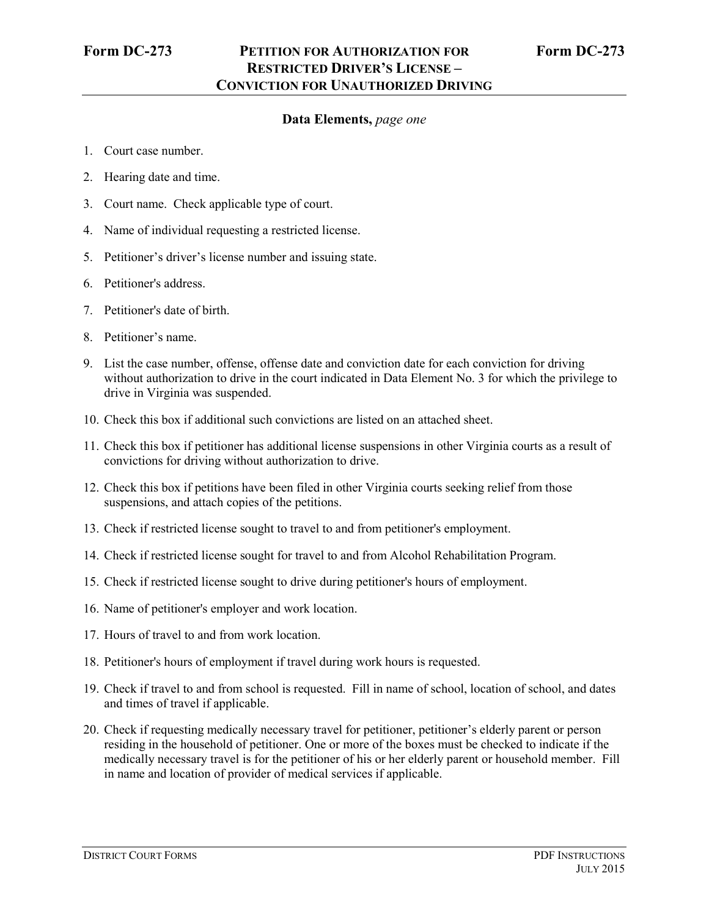## **Data Elements,** *page one*

- 1. Court case number.
- 2. Hearing date and time.
- 3. Court name. Check applicable type of court.
- 4. Name of individual requesting a restricted license.
- 5. Petitioner's driver's license number and issuing state.
- 6. Petitioner's address.
- 7. Petitioner's date of birth.
- 8. Petitioner's name.
- 9. List the case number, offense, offense date and conviction date for each conviction for driving without authorization to drive in the court indicated in Data Element No. 3 for which the privilege to drive in Virginia was suspended.
- 10. Check this box if additional such convictions are listed on an attached sheet.
- 11. Check this box if petitioner has additional license suspensions in other Virginia courts as a result of convictions for driving without authorization to drive.
- 12. Check this box if petitions have been filed in other Virginia courts seeking relief from those suspensions, and attach copies of the petitions.
- 13. Check if restricted license sought to travel to and from petitioner's employment.
- 14. Check if restricted license sought for travel to and from Alcohol Rehabilitation Program.
- 15. Check if restricted license sought to drive during petitioner's hours of employment.
- 16. Name of petitioner's employer and work location.
- 17. Hours of travel to and from work location.
- 18. Petitioner's hours of employment if travel during work hours is requested.
- 19. Check if travel to and from school is requested. Fill in name of school, location of school, and dates and times of travel if applicable.
- 20. Check if requesting medically necessary travel for petitioner, petitioner's elderly parent or person residing in the household of petitioner. One or more of the boxes must be checked to indicate if the medically necessary travel is for the petitioner of his or her elderly parent or household member. Fill in name and location of provider of medical services if applicable.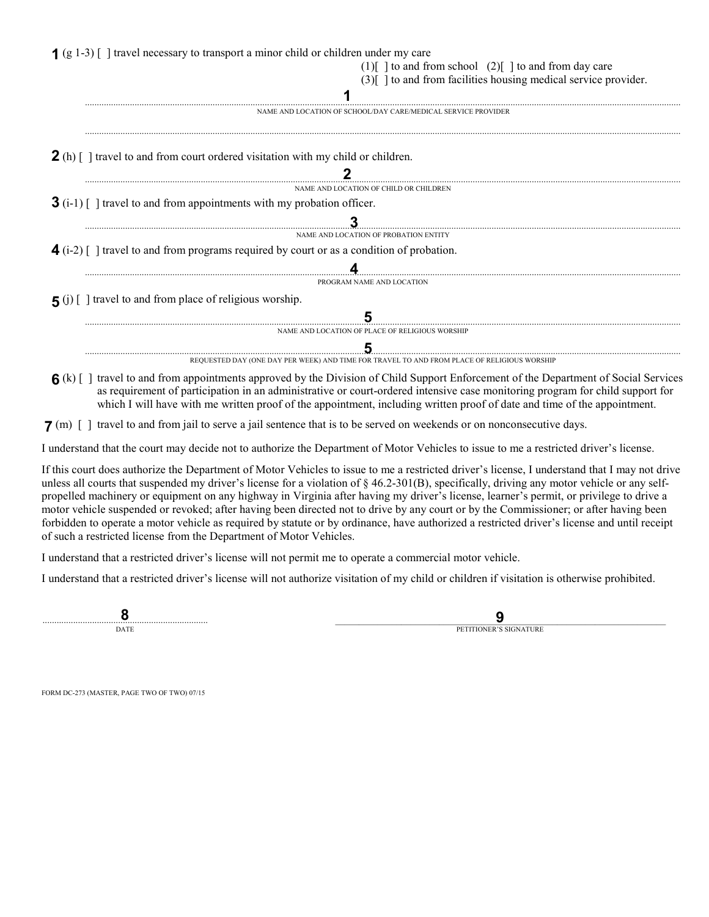| $(1)$ [ ] to and from school $(2)$ [ ] to and from day care                                                         |
|---------------------------------------------------------------------------------------------------------------------|
| $(3)$   to and from facilities housing medical service provider.                                                    |
| NAME AND LOCATION OF SCHOOL/DAY CARE/MEDICAL SERVICE PROVIDER                                                       |
|                                                                                                                     |
| <b>2</b> (h) $\lceil \cdot \rceil$ travel to and from court ordered visitation with my child or children.           |
| NAME AND LOCATION OF CHILD OR CHILDREN                                                                              |
| $3(i-1)$ [ ] travel to and from appointments with my probation officer.                                             |
|                                                                                                                     |
| NAME AND LOCATION OF PROBATION ENTITY                                                                               |
| $\blacktriangleleft$ (i-2) $\lceil$ 1 travel to and from programs required by court or as a condition of probation. |
|                                                                                                                     |
| PROGRAM NAME AND LOCATION                                                                                           |
| <b>5</b> (i) [ ] travel to and from place of religious worship.                                                     |
|                                                                                                                     |
| NAME AND LOCATION OF PLACE OF RELIGIOUS WORSHIP                                                                     |
|                                                                                                                     |
| REQUESTED DAY (ONE DAY PER WEEK) AND TIME FOR TRAVEL TO AND FROM PLACE OF RELIGIOUS WORSHIP                         |

as requirement of participation in an administrative or court-ordered intensive case monitoring program for child support for which I will have with me written proof of the appointment, including written proof of date and time of the appointment.

**7** (m) [ ] travel to and from jail to serve a jail sentence that is to be served on weekends or on nonconsecutive days.

I understand that the court may decide not to authorize the Department of Motor Vehicles to issue to me a restricted driver's license.

If this court does authorize the Department of Motor Vehicles to issue to me a restricted driver's license, I understand that I may not drive unless all courts that suspended my driver's license for a violation of § 46.2-301(B), specifically, driving any motor vehicle or any selfpropelled machinery or equipment on any highway in Virginia after having my driver's license, learner's permit, or privilege to drive a motor vehicle suspended or revoked; after having been directed not to drive by any court or by the Commissioner; or after having been forbidden to operate a motor vehicle as required by statute or by ordinance, have authorized a restricted driver's license and until receipt of such a restricted license from the Department of Motor Vehicles.

I understand that a restricted driver's license will not permit me to operate a commercial motor vehicle.

I understand that a restricted driver's license will not authorize visitation of my child or children if visitation is otherwise prohibited.

...................................................................... \_\_\_\_\_\_\_\_\_\_\_\_\_\_\_\_\_\_\_\_\_\_\_\_\_\_\_\_\_\_\_\_\_\_\_\_\_\_\_\_\_\_\_\_\_\_\_\_\_\_\_\_\_\_\_\_\_\_\_\_\_\_\_\_\_\_\_\_\_\_ **DATE** 

PETITIONER'S SIGNATURE **9**

FORM DC-273 (MASTER, PAGE TWO OF TWO) 07/15